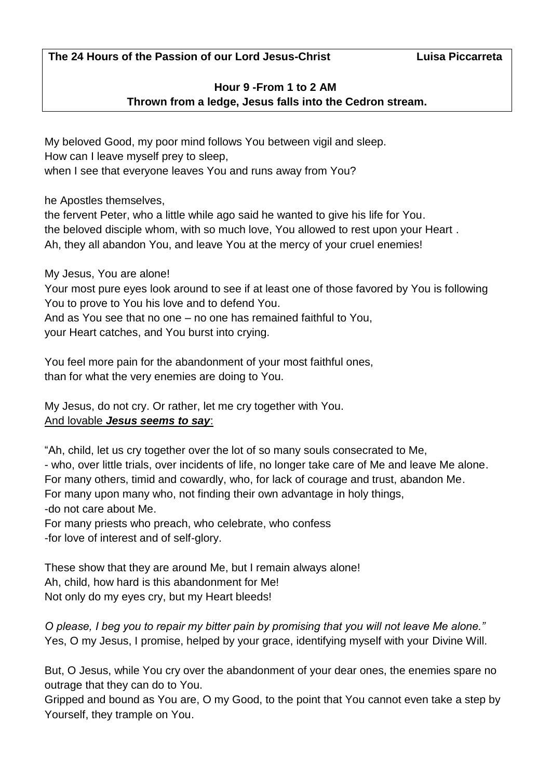**The 24 Hours of the Passion of our Lord Jesus-Christ Luisa Piccarreta**

## **Hour 9 -From 1 to 2 AM Thrown from a ledge, Jesus falls into the Cedron stream.**

My beloved Good, my poor mind follows You between vigil and sleep. How can I leave myself prey to sleep, when I see that everyone leaves You and runs away from You?

he Apostles themselves,

the fervent Peter, who a little while ago said he wanted to give his life for You. the beloved disciple whom, with so much love, You allowed to rest upon your Heart . Ah, they all abandon You, and leave You at the mercy of your cruel enemies!

My Jesus, You are alone!

Your most pure eyes look around to see if at least one of those favored by You is following You to prove to You his love and to defend You.

And as You see that no one – no one has remained faithful to You,

your Heart catches, and You burst into crying.

You feel more pain for the abandonment of your most faithful ones, than for what the very enemies are doing to You.

My Jesus, do not cry. Or rather, let me cry together with You. And lovable *Jesus seems to say*:

"Ah, child, let us cry together over the lot of so many souls consecrated to Me, - who, over little trials, over incidents of life, no longer take care of Me and leave Me alone. For many others, timid and cowardly, who, for lack of courage and trust, abandon Me. For many upon many who, not finding their own advantage in holy things, -do not care about Me.

For many priests who preach, who celebrate, who confess -for love of interest and of self-glory.

These show that they are around Me, but I remain always alone! Ah, child, how hard is this abandonment for Me! Not only do my eyes cry, but my Heart bleeds!

*O please, I beg you to repair my bitter pain by promising that you will not leave Me alone."* Yes, O my Jesus, I promise, helped by your grace, identifying myself with your Divine Will.

But, O Jesus, while You cry over the abandonment of your dear ones, the enemies spare no outrage that they can do to You.

Gripped and bound as You are, O my Good, to the point that You cannot even take a step by Yourself, they trample on You.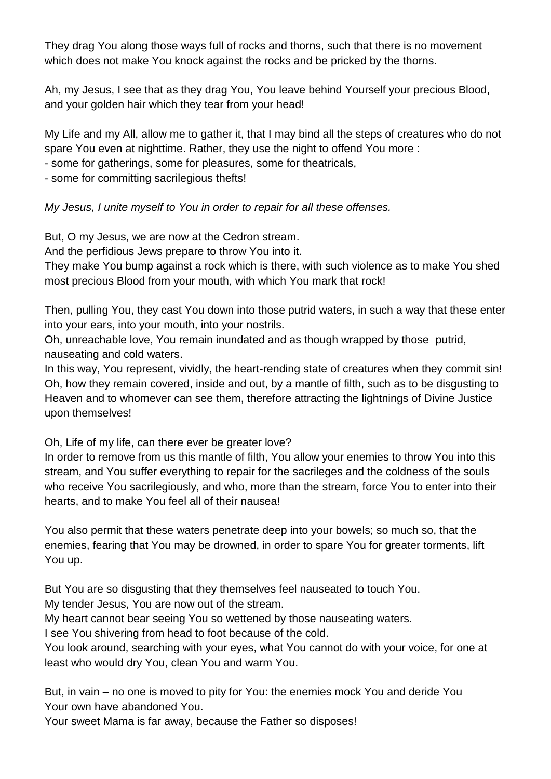They drag You along those ways full of rocks and thorns, such that there is no movement which does not make You knock against the rocks and be pricked by the thorns.

Ah, my Jesus, I see that as they drag You, You leave behind Yourself your precious Blood, and your golden hair which they tear from your head!

My Life and my All, allow me to gather it, that I may bind all the steps of creatures who do not spare You even at nighttime. Rather, they use the night to offend You more :

- some for gatherings, some for pleasures, some for theatricals,

- some for committing sacrilegious thefts!

*My Jesus, I unite myself to You in order to repair for all these offenses.* 

But, O my Jesus, we are now at the Cedron stream.

And the perfidious Jews prepare to throw You into it.

They make You bump against a rock which is there, with such violence as to make You shed most precious Blood from your mouth, with which You mark that rock!

Then, pulling You, they cast You down into those putrid waters, in such a way that these enter into your ears, into your mouth, into your nostrils.

Oh, unreachable love, You remain inundated and as though wrapped by those putrid, nauseating and cold waters.

In this way, You represent, vividly, the heart-rending state of creatures when they commit sin! Oh, how they remain covered, inside and out, by a mantle of filth, such as to be disgusting to Heaven and to whomever can see them, therefore attracting the lightnings of Divine Justice upon themselves!

Oh, Life of my life, can there ever be greater love?

In order to remove from us this mantle of filth, You allow your enemies to throw You into this stream, and You suffer everything to repair for the sacrileges and the coldness of the souls who receive You sacrilegiously, and who, more than the stream, force You to enter into their hearts, and to make You feel all of their nausea!

You also permit that these waters penetrate deep into your bowels; so much so, that the enemies, fearing that You may be drowned, in order to spare You for greater torments, lift You up.

But You are so disgusting that they themselves feel nauseated to touch You.

My tender Jesus, You are now out of the stream.

My heart cannot bear seeing You so wettened by those nauseating waters.

I see You shivering from head to foot because of the cold.

You look around, searching with your eyes, what You cannot do with your voice, for one at least who would dry You, clean You and warm You.

But, in vain – no one is moved to pity for You: the enemies mock You and deride You Your own have abandoned You.

Your sweet Mama is far away, because the Father so disposes!